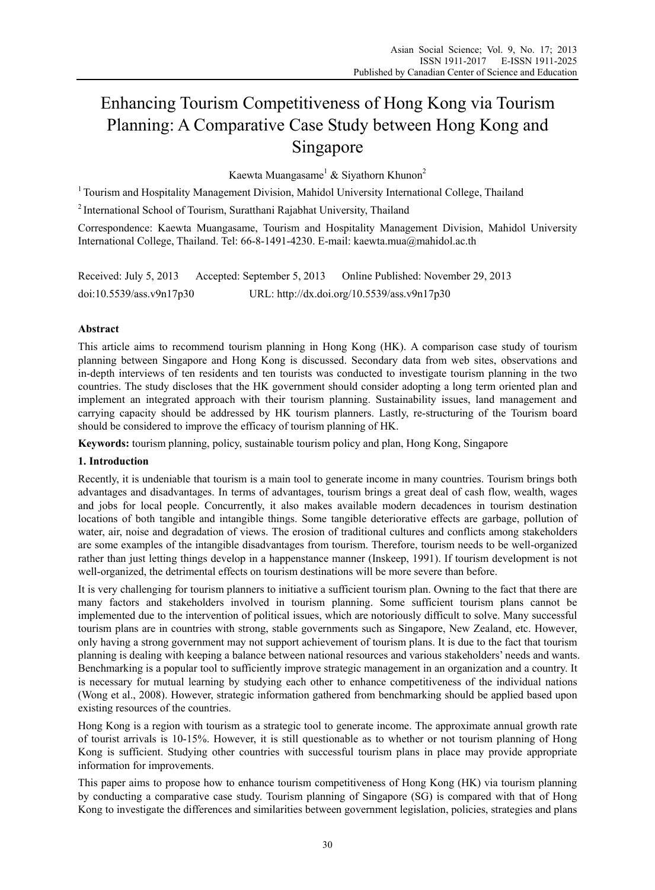# Enhancing Tourism Competitiveness of Hong Kong via Tourism Planning: A Comparative Case Study between Hong Kong and Singapore

Kaewta Muangasame<sup>1</sup> & Siyathorn Khunon<sup>2</sup>

<sup>1</sup> Tourism and Hospitality Management Division, Mahidol University International College, Thailand

2 International School of Tourism, Suratthani Rajabhat University, Thailand

Correspondence: Kaewta Muangasame, Tourism and Hospitality Management Division, Mahidol University International College, Thailand. Tel: 66-8-1491-4230. E-mail: kaewta.mua@mahidol.ac.th

Received: July 5, 2013 Accepted: September 5, 2013 Online Published: November 29, 2013 doi:10.5539/ass.v9n17p30 URL: http://dx.doi.org/10.5539/ass.v9n17p30

## **Abstract**

This article aims to recommend tourism planning in Hong Kong (HK). A comparison case study of tourism planning between Singapore and Hong Kong is discussed. Secondary data from web sites, observations and in-depth interviews of ten residents and ten tourists was conducted to investigate tourism planning in the two countries. The study discloses that the HK government should consider adopting a long term oriented plan and implement an integrated approach with their tourism planning. Sustainability issues, land management and carrying capacity should be addressed by HK tourism planners. Lastly, re-structuring of the Tourism board should be considered to improve the efficacy of tourism planning of HK.

**Keywords:** tourism planning, policy, sustainable tourism policy and plan, Hong Kong, Singapore

# **1. Introduction**

Recently, it is undeniable that tourism is a main tool to generate income in many countries. Tourism brings both advantages and disadvantages. In terms of advantages, tourism brings a great deal of cash flow, wealth, wages and jobs for local people. Concurrently, it also makes available modern decadences in tourism destination locations of both tangible and intangible things. Some tangible deteriorative effects are garbage, pollution of water, air, noise and degradation of views. The erosion of traditional cultures and conflicts among stakeholders are some examples of the intangible disadvantages from tourism. Therefore, tourism needs to be well-organized rather than just letting things develop in a happenstance manner (Inskeep, 1991). If tourism development is not well-organized, the detrimental effects on tourism destinations will be more severe than before.

It is very challenging for tourism planners to initiative a sufficient tourism plan. Owning to the fact that there are many factors and stakeholders involved in tourism planning. Some sufficient tourism plans cannot be implemented due to the intervention of political issues, which are notoriously difficult to solve. Many successful tourism plans are in countries with strong, stable governments such as Singapore, New Zealand, etc. However, only having a strong government may not support achievement of tourism plans. It is due to the fact that tourism planning is dealing with keeping a balance between national resources and various stakeholders' needs and wants. Benchmarking is a popular tool to sufficiently improve strategic management in an organization and a country. It is necessary for mutual learning by studying each other to enhance competitiveness of the individual nations (Wong et al., 2008). However, strategic information gathered from benchmarking should be applied based upon existing resources of the countries.

Hong Kong is a region with tourism as a strategic tool to generate income. The approximate annual growth rate of tourist arrivals is 10-15%. However, it is still questionable as to whether or not tourism planning of Hong Kong is sufficient. Studying other countries with successful tourism plans in place may provide appropriate information for improvements.

This paper aims to propose how to enhance tourism competitiveness of Hong Kong (HK) via tourism planning by conducting a comparative case study. Tourism planning of Singapore (SG) is compared with that of Hong Kong to investigate the differences and similarities between government legislation, policies, strategies and plans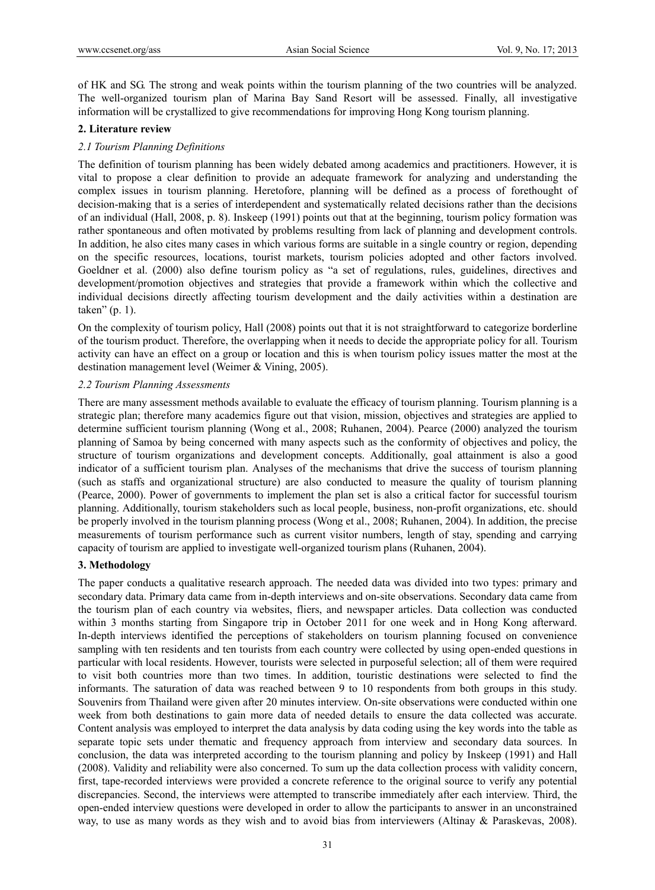of HK and SG. The strong and weak points within the tourism planning of the two countries will be analyzed. The well-organized tourism plan of Marina Bay Sand Resort will be assessed. Finally, all investigative information will be crystallized to give recommendations for improving Hong Kong tourism planning.

## **2. Literature review**

## *2.1 Tourism Planning Definitions*

The definition of tourism planning has been widely debated among academics and practitioners. However, it is vital to propose a clear definition to provide an adequate framework for analyzing and understanding the complex issues in tourism planning. Heretofore, planning will be defined as a process of forethought of decision-making that is a series of interdependent and systematically related decisions rather than the decisions of an individual (Hall, 2008, p. 8). Inskeep (1991) points out that at the beginning, tourism policy formation was rather spontaneous and often motivated by problems resulting from lack of planning and development controls. In addition, he also cites many cases in which various forms are suitable in a single country or region, depending on the specific resources, locations, tourist markets, tourism policies adopted and other factors involved. Goeldner et al. (2000) also define tourism policy as "a set of regulations, rules, guidelines, directives and development/promotion objectives and strategies that provide a framework within which the collective and individual decisions directly affecting tourism development and the daily activities within a destination are taken" (p. 1).

On the complexity of tourism policy, Hall (2008) points out that it is not straightforward to categorize borderline of the tourism product. Therefore, the overlapping when it needs to decide the appropriate policy for all. Tourism activity can have an effect on a group or location and this is when tourism policy issues matter the most at the destination management level (Weimer & Vining, 2005).

#### *2.2 Tourism Planning Assessments*

There are many assessment methods available to evaluate the efficacy of tourism planning. Tourism planning is a strategic plan; therefore many academics figure out that vision, mission, objectives and strategies are applied to determine sufficient tourism planning (Wong et al., 2008; Ruhanen, 2004). Pearce (2000) analyzed the tourism planning of Samoa by being concerned with many aspects such as the conformity of objectives and policy, the structure of tourism organizations and development concepts. Additionally, goal attainment is also a good indicator of a sufficient tourism plan. Analyses of the mechanisms that drive the success of tourism planning (such as staffs and organizational structure) are also conducted to measure the quality of tourism planning (Pearce, 2000). Power of governments to implement the plan set is also a critical factor for successful tourism planning. Additionally, tourism stakeholders such as local people, business, non-profit organizations, etc. should be properly involved in the tourism planning process (Wong et al., 2008; Ruhanen, 2004). In addition, the precise measurements of tourism performance such as current visitor numbers, length of stay, spending and carrying capacity of tourism are applied to investigate well-organized tourism plans (Ruhanen, 2004).

# **3. Methodology**

The paper conducts a qualitative research approach. The needed data was divided into two types: primary and secondary data. Primary data came from in-depth interviews and on-site observations. Secondary data came from the tourism plan of each country via websites, fliers, and newspaper articles. Data collection was conducted within 3 months starting from Singapore trip in October 2011 for one week and in Hong Kong afterward. In-depth interviews identified the perceptions of stakeholders on tourism planning focused on convenience sampling with ten residents and ten tourists from each country were collected by using open-ended questions in particular with local residents. However, tourists were selected in purposeful selection; all of them were required to visit both countries more than two times. In addition, touristic destinations were selected to find the informants. The saturation of data was reached between 9 to 10 respondents from both groups in this study. Souvenirs from Thailand were given after 20 minutes interview. On-site observations were conducted within one week from both destinations to gain more data of needed details to ensure the data collected was accurate. Content analysis was employed to interpret the data analysis by data coding using the key words into the table as separate topic sets under thematic and frequency approach from interview and secondary data sources. In conclusion, the data was interpreted according to the tourism planning and policy by Inskeep (1991) and Hall (2008). Validity and reliability were also concerned. To sum up the data collection process with validity concern, first, tape-recorded interviews were provided a concrete reference to the original source to verify any potential discrepancies. Second, the interviews were attempted to transcribe immediately after each interview. Third, the open-ended interview questions were developed in order to allow the participants to answer in an unconstrained way, to use as many words as they wish and to avoid bias from interviewers (Altinay & Paraskevas, 2008).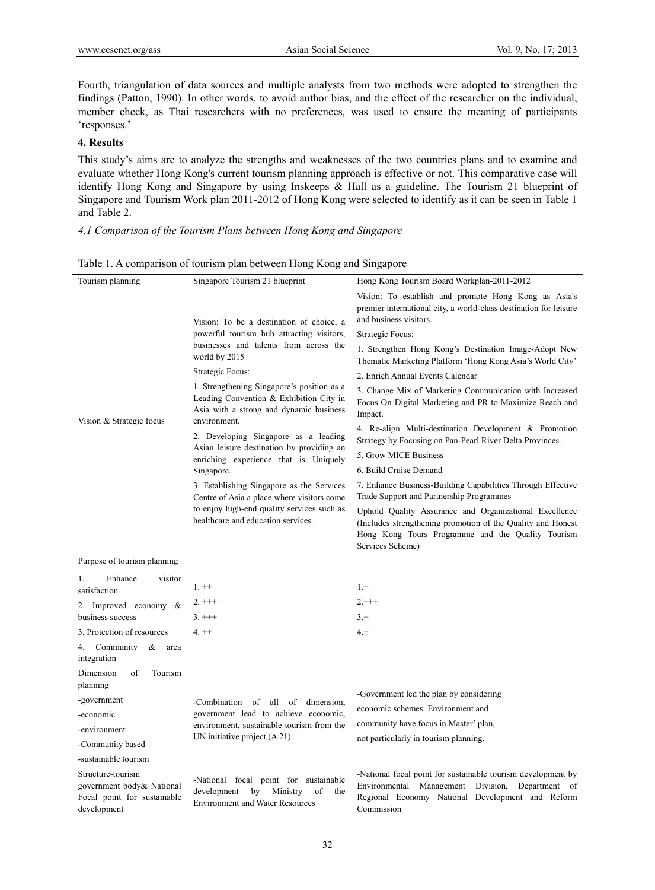Fourth, triangulation of data sources and multiple analysts from two methods were adopted to strengthen the findings (Patton, 1990). In other words, to avoid author bias, and the effect of the researcher on the individual, member check, as Thai researchers with no preferences, was used to ensure the meaning of participants 'responses.'

#### **4. Results**

This study's aims are to analyze the strengths and weaknesses of the two countries plans and to examine and evaluate whether Hong Kong's current tourism planning approach is effective or not. This comparative case will identify Hong Kong and Singapore by using Inskeeps & Hall as a guideline. The Tourism 21 blueprint of Singapore and Tourism Work plan 2011-2012 of Hong Kong were selected to identify as it can be seen in Table 1 and Table 2.

*4.1 Comparison of the Tourism Plans between Hong Kong and Singapore* 

| Tourism planning                                                                              | Singapore Tourism 21 blueprint                                                                                                                                                                                                                                                                                                                                                                                                                                                                                                                                                                                | Hong Kong Tourism Board Workplan-2011-2012                                                                                                                                                                                                                                                                                                                                                                                                                                                                                                                                                                                                                                                                                                                                                                             |  |  |
|-----------------------------------------------------------------------------------------------|---------------------------------------------------------------------------------------------------------------------------------------------------------------------------------------------------------------------------------------------------------------------------------------------------------------------------------------------------------------------------------------------------------------------------------------------------------------------------------------------------------------------------------------------------------------------------------------------------------------|------------------------------------------------------------------------------------------------------------------------------------------------------------------------------------------------------------------------------------------------------------------------------------------------------------------------------------------------------------------------------------------------------------------------------------------------------------------------------------------------------------------------------------------------------------------------------------------------------------------------------------------------------------------------------------------------------------------------------------------------------------------------------------------------------------------------|--|--|
| Vision & Strategic focus                                                                      | Vision: To be a destination of choice, a<br>powerful tourism hub attracting visitors,<br>businesses and talents from across the<br>world by 2015<br>Strategic Focus:<br>1. Strengthening Singapore's position as a<br>Leading Convention & Exhibition City in<br>Asia with a strong and dynamic business<br>environment.<br>2. Developing Singapore as a leading<br>Asian leisure destination by providing an<br>enriching experience that is Uniquely<br>Singapore.<br>3. Establishing Singapore as the Services<br>Centre of Asia a place where visitors come<br>to enjoy high-end quality services such as | Vision: To establish and promote Hong Kong as Asia's<br>premier international city, a world-class destination for leisure<br>and business visitors.<br><b>Strategic Focus:</b><br>1. Strengthen Hong Kong's Destination Image-Adopt New<br>Thematic Marketing Platform 'Hong Kong Asia's World City'<br>2. Enrich Annual Events Calendar<br>3. Change Mix of Marketing Communication with Increased<br>Focus On Digital Marketing and PR to Maximize Reach and<br>Impact.<br>4. Re-align Multi-destination Development & Promotion<br>Strategy by Focusing on Pan-Pearl River Delta Provinces.<br>5. Grow MICE Business<br>6. Build Cruise Demand<br>7. Enhance Business-Building Capabilities Through Effective<br>Trade Support and Partnership Programmes<br>Uphold Quality Assurance and Organizational Excellence |  |  |
|                                                                                               | healthcare and education services.                                                                                                                                                                                                                                                                                                                                                                                                                                                                                                                                                                            | (Includes strengthening promotion of the Quality and Honest<br>Hong Kong Tours Programme and the Quality Tourism<br>Services Scheme)                                                                                                                                                                                                                                                                                                                                                                                                                                                                                                                                                                                                                                                                                   |  |  |
| Purpose of tourism planning                                                                   |                                                                                                                                                                                                                                                                                                                                                                                                                                                                                                                                                                                                               |                                                                                                                                                                                                                                                                                                                                                                                                                                                                                                                                                                                                                                                                                                                                                                                                                        |  |  |
| 1.<br>Enhance<br>visitor<br>satisfaction                                                      | $1. + +$                                                                                                                                                                                                                                                                                                                                                                                                                                                                                                                                                                                                      | $1. +$                                                                                                                                                                                                                                                                                                                                                                                                                                                                                                                                                                                                                                                                                                                                                                                                                 |  |  |
| 2. Improved economy &                                                                         | $2. + + +$                                                                                                                                                                                                                                                                                                                                                                                                                                                                                                                                                                                                    | $2.***$                                                                                                                                                                                                                                                                                                                                                                                                                                                                                                                                                                                                                                                                                                                                                                                                                |  |  |
| business success                                                                              | $3. + + +$                                                                                                                                                                                                                                                                                                                                                                                                                                                                                                                                                                                                    | $3. +$                                                                                                                                                                                                                                                                                                                                                                                                                                                                                                                                                                                                                                                                                                                                                                                                                 |  |  |
| 3. Protection of resources                                                                    | $4. + +$                                                                                                                                                                                                                                                                                                                                                                                                                                                                                                                                                                                                      | $4+$                                                                                                                                                                                                                                                                                                                                                                                                                                                                                                                                                                                                                                                                                                                                                                                                                   |  |  |
| Community<br>4.<br>&<br>area<br>integration                                                   |                                                                                                                                                                                                                                                                                                                                                                                                                                                                                                                                                                                                               |                                                                                                                                                                                                                                                                                                                                                                                                                                                                                                                                                                                                                                                                                                                                                                                                                        |  |  |
| Dimension<br>of<br>Tourism<br>planning                                                        |                                                                                                                                                                                                                                                                                                                                                                                                                                                                                                                                                                                                               |                                                                                                                                                                                                                                                                                                                                                                                                                                                                                                                                                                                                                                                                                                                                                                                                                        |  |  |
| -government                                                                                   | -Combination of all of dimension,                                                                                                                                                                                                                                                                                                                                                                                                                                                                                                                                                                             | -Government led the plan by considering                                                                                                                                                                                                                                                                                                                                                                                                                                                                                                                                                                                                                                                                                                                                                                                |  |  |
| -economic                                                                                     | government lead to achieve economic,                                                                                                                                                                                                                                                                                                                                                                                                                                                                                                                                                                          | economic schemes. Environment and                                                                                                                                                                                                                                                                                                                                                                                                                                                                                                                                                                                                                                                                                                                                                                                      |  |  |
| -environment                                                                                  | environment, sustainable tourism from the                                                                                                                                                                                                                                                                                                                                                                                                                                                                                                                                                                     | community have focus in Master' plan,                                                                                                                                                                                                                                                                                                                                                                                                                                                                                                                                                                                                                                                                                                                                                                                  |  |  |
| -Community based                                                                              | UN initiative project (A 21).                                                                                                                                                                                                                                                                                                                                                                                                                                                                                                                                                                                 | not particularly in tourism planning.                                                                                                                                                                                                                                                                                                                                                                                                                                                                                                                                                                                                                                                                                                                                                                                  |  |  |
| -sustainable tourism                                                                          |                                                                                                                                                                                                                                                                                                                                                                                                                                                                                                                                                                                                               |                                                                                                                                                                                                                                                                                                                                                                                                                                                                                                                                                                                                                                                                                                                                                                                                                        |  |  |
| Structure-tourism<br>government body & National<br>Focal point for sustainable<br>development | -National focal point for sustainable<br>development<br>by<br>Ministry<br>of<br>the<br><b>Environment and Water Resources</b>                                                                                                                                                                                                                                                                                                                                                                                                                                                                                 | -National focal point for sustainable tourism development by<br>Environmental Management Division, Department of<br>Regional Economy National Development and Reform<br>Commission                                                                                                                                                                                                                                                                                                                                                                                                                                                                                                                                                                                                                                     |  |  |

| Table 1. A comparison of tourism plan between Hong Kong and Singapore |  |  |  |
|-----------------------------------------------------------------------|--|--|--|
|                                                                       |  |  |  |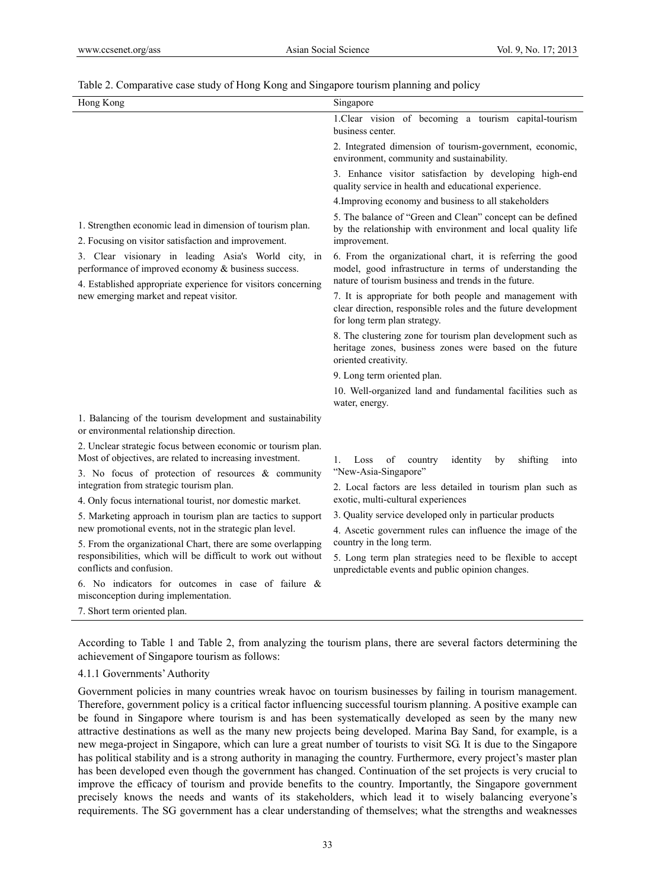#### Table 2. Comparative case study of Hong Kong and Singapore tourism planning and policy

| Hong Kong                                                                                                                                                                   | Singapore                                                                                                                                                                      |  |  |  |
|-----------------------------------------------------------------------------------------------------------------------------------------------------------------------------|--------------------------------------------------------------------------------------------------------------------------------------------------------------------------------|--|--|--|
|                                                                                                                                                                             |                                                                                                                                                                                |  |  |  |
|                                                                                                                                                                             | 1. Clear vision of becoming a tourism capital-tourism<br>business center.                                                                                                      |  |  |  |
|                                                                                                                                                                             | 2. Integrated dimension of tourism-government, economic,<br>environment, community and sustainability.                                                                         |  |  |  |
|                                                                                                                                                                             | 3. Enhance visitor satisfaction by developing high-end<br>quality service in health and educational experience.                                                                |  |  |  |
|                                                                                                                                                                             | 4. Improving economy and business to all stakeholders                                                                                                                          |  |  |  |
| 1. Strengthen economic lead in dimension of tourism plan.<br>2. Focusing on visitor satisfaction and improvement.                                                           | 5. The balance of "Green and Clean" concept can be defined<br>by the relationship with environment and local quality life<br>improvement.                                      |  |  |  |
| 3. Clear visionary in leading Asia's World city, in<br>performance of improved economy & business success.<br>4. Established appropriate experience for visitors concerning | 6. From the organizational chart, it is referring the good<br>model, good infrastructure in terms of understanding the<br>nature of tourism business and trends in the future. |  |  |  |
| new emerging market and repeat visitor.                                                                                                                                     | 7. It is appropriate for both people and management with<br>clear direction, responsible roles and the future development<br>for long term plan strategy.                      |  |  |  |
|                                                                                                                                                                             | 8. The clustering zone for tourism plan development such as<br>heritage zones, business zones were based on the future<br>oriented creativity.                                 |  |  |  |
|                                                                                                                                                                             | 9. Long term oriented plan.                                                                                                                                                    |  |  |  |
|                                                                                                                                                                             | 10. Well-organized land and fundamental facilities such as<br>water, energy.                                                                                                   |  |  |  |
| 1. Balancing of the tourism development and sustainability<br>or environmental relationship direction.                                                                      |                                                                                                                                                                                |  |  |  |
| 2. Unclear strategic focus between economic or tourism plan.                                                                                                                |                                                                                                                                                                                |  |  |  |
| Most of objectives, are related to increasing investment.                                                                                                                   | of<br>identity<br>shifting<br>$1_{-}$<br>Loss<br>country<br>by<br>into                                                                                                         |  |  |  |
| 3. No focus of protection of resources $\&$ community<br>integration from strategic tourism plan.                                                                           | "New-Asia-Singapore"<br>2. Local factors are less detailed in tourism plan such as                                                                                             |  |  |  |
| 4. Only focus international tourist, nor domestic market.                                                                                                                   | exotic, multi-cultural experiences                                                                                                                                             |  |  |  |
| 5. Marketing approach in tourism plan are tactics to support                                                                                                                | 3. Quality service developed only in particular products                                                                                                                       |  |  |  |
| new promotional events, not in the strategic plan level.                                                                                                                    | 4. Ascetic government rules can influence the image of the                                                                                                                     |  |  |  |
| 5. From the organizational Chart, there are some overlapping                                                                                                                | country in the long term.                                                                                                                                                      |  |  |  |
| responsibilities, which will be difficult to work out without<br>conflicts and confusion.                                                                                   | 5. Long term plan strategies need to be flexible to accept<br>unpredictable events and public opinion changes.                                                                 |  |  |  |
| 6. No indicators for outcomes in case of failure $\&$<br>misconception during implementation.                                                                               |                                                                                                                                                                                |  |  |  |

7. Short term oriented plan.

According to Table 1 and Table 2, from analyzing the tourism plans, there are several factors determining the achievement of Singapore tourism as follows:

#### 4.1.1 Governments' Authority

Government policies in many countries wreak havoc on tourism businesses by failing in tourism management. Therefore, government policy is a critical factor influencing successful tourism planning. A positive example can be found in Singapore where tourism is and has been systematically developed as seen by the many new attractive destinations as well as the many new projects being developed. Marina Bay Sand, for example, is a new mega-project in Singapore, which can lure a great number of tourists to visit SG. It is due to the Singapore has political stability and is a strong authority in managing the country. Furthermore, every project's master plan has been developed even though the government has changed. Continuation of the set projects is very crucial to improve the efficacy of tourism and provide benefits to the country. Importantly, the Singapore government precisely knows the needs and wants of its stakeholders, which lead it to wisely balancing everyone's requirements. The SG government has a clear understanding of themselves; what the strengths and weaknesses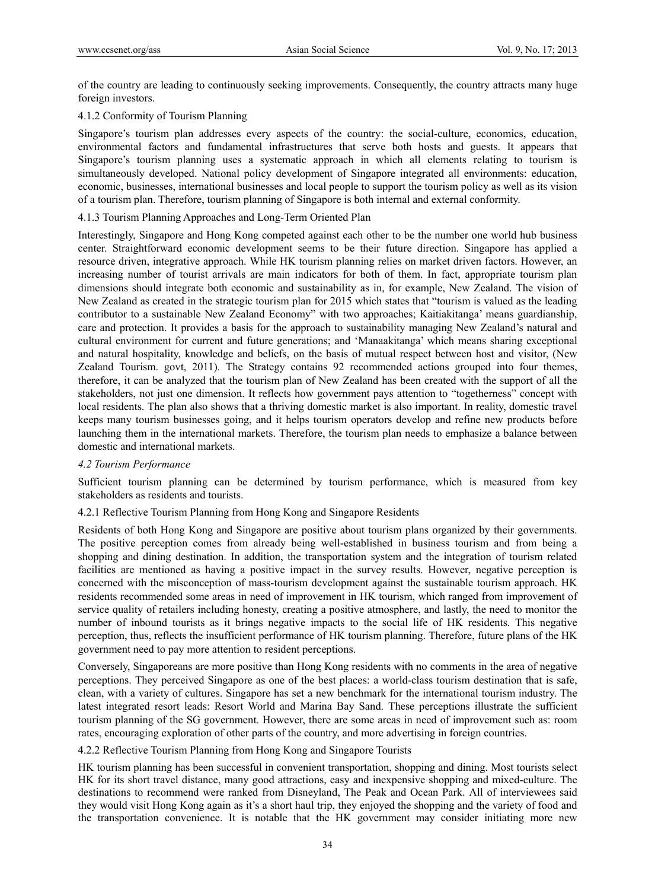of the country are leading to continuously seeking improvements. Consequently, the country attracts many huge foreign investors.

## 4.1.2 Conformity of Tourism Planning

Singapore's tourism plan addresses every aspects of the country: the social-culture, economics, education, environmental factors and fundamental infrastructures that serve both hosts and guests. It appears that Singapore's tourism planning uses a systematic approach in which all elements relating to tourism is simultaneously developed. National policy development of Singapore integrated all environments: education, economic, businesses, international businesses and local people to support the tourism policy as well as its vision of a tourism plan. Therefore, tourism planning of Singapore is both internal and external conformity.

## 4.1.3 Tourism Planning Approaches and Long-Term Oriented Plan

Interestingly, Singapore and Hong Kong competed against each other to be the number one world hub business center. Straightforward economic development seems to be their future direction. Singapore has applied a resource driven, integrative approach. While HK tourism planning relies on market driven factors. However, an increasing number of tourist arrivals are main indicators for both of them. In fact, appropriate tourism plan dimensions should integrate both economic and sustainability as in, for example, New Zealand. The vision of New Zealand as created in the strategic tourism plan for 2015 which states that "tourism is valued as the leading contributor to a sustainable New Zealand Economy" with two approaches; Kaitiakitanga' means guardianship, care and protection. It provides a basis for the approach to sustainability managing New Zealand's natural and cultural environment for current and future generations; and 'Manaakitanga' which means sharing exceptional and natural hospitality, knowledge and beliefs, on the basis of mutual respect between host and visitor, (New Zealand Tourism. govt, 2011). The Strategy contains 92 recommended actions grouped into four themes, therefore, it can be analyzed that the tourism plan of New Zealand has been created with the support of all the stakeholders, not just one dimension. It reflects how government pays attention to "togetherness" concept with local residents. The plan also shows that a thriving domestic market is also important. In reality, domestic travel keeps many tourism businesses going, and it helps tourism operators develop and refine new products before launching them in the international markets. Therefore, the tourism plan needs to emphasize a balance between domestic and international markets.

#### *4.2 Tourism Performance*

Sufficient tourism planning can be determined by tourism performance, which is measured from key stakeholders as residents and tourists.

#### 4.2.1 Reflective Tourism Planning from Hong Kong and Singapore Residents

Residents of both Hong Kong and Singapore are positive about tourism plans organized by their governments. The positive perception comes from already being well-established in business tourism and from being a shopping and dining destination. In addition, the transportation system and the integration of tourism related facilities are mentioned as having a positive impact in the survey results. However, negative perception is concerned with the misconception of mass-tourism development against the sustainable tourism approach. HK residents recommended some areas in need of improvement in HK tourism, which ranged from improvement of service quality of retailers including honesty, creating a positive atmosphere, and lastly, the need to monitor the number of inbound tourists as it brings negative impacts to the social life of HK residents. This negative perception, thus, reflects the insufficient performance of HK tourism planning. Therefore, future plans of the HK government need to pay more attention to resident perceptions.

Conversely, Singaporeans are more positive than Hong Kong residents with no comments in the area of negative perceptions. They perceived Singapore as one of the best places: a world-class tourism destination that is safe, clean, with a variety of cultures. Singapore has set a new benchmark for the international tourism industry. The latest integrated resort leads: Resort World and Marina Bay Sand. These perceptions illustrate the sufficient tourism planning of the SG government. However, there are some areas in need of improvement such as: room rates, encouraging exploration of other parts of the country, and more advertising in foreign countries.

## 4.2.2 Reflective Tourism Planning from Hong Kong and Singapore Tourists

HK tourism planning has been successful in convenient transportation, shopping and dining. Most tourists select HK for its short travel distance, many good attractions, easy and inexpensive shopping and mixed-culture. The destinations to recommend were ranked from Disneyland, The Peak and Ocean Park. All of interviewees said they would visit Hong Kong again as it's a short haul trip, they enjoyed the shopping and the variety of food and the transportation convenience. It is notable that the HK government may consider initiating more new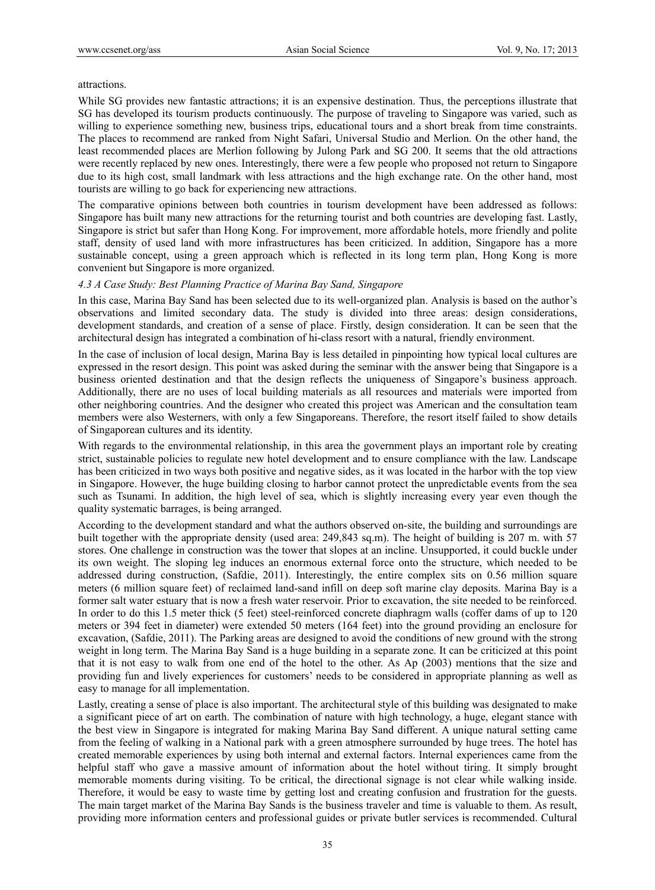#### attractions.

While SG provides new fantastic attractions; it is an expensive destination. Thus, the perceptions illustrate that SG has developed its tourism products continuously. The purpose of traveling to Singapore was varied, such as willing to experience something new, business trips, educational tours and a short break from time constraints. The places to recommend are ranked from Night Safari, Universal Studio and Merlion. On the other hand, the least recommended places are Merlion following by Julong Park and SG 200. It seems that the old attractions were recently replaced by new ones. Interestingly, there were a few people who proposed not return to Singapore due to its high cost, small landmark with less attractions and the high exchange rate. On the other hand, most tourists are willing to go back for experiencing new attractions.

The comparative opinions between both countries in tourism development have been addressed as follows: Singapore has built many new attractions for the returning tourist and both countries are developing fast. Lastly, Singapore is strict but safer than Hong Kong. For improvement, more affordable hotels, more friendly and polite staff, density of used land with more infrastructures has been criticized. In addition, Singapore has a more sustainable concept, using a green approach which is reflected in its long term plan, Hong Kong is more convenient but Singapore is more organized.

#### *4.3 A Case Study: Best Planning Practice of Marina Bay Sand, Singapore*

In this case, Marina Bay Sand has been selected due to its well-organized plan. Analysis is based on the author's observations and limited secondary data. The study is divided into three areas: design considerations, development standards, and creation of a sense of place. Firstly, design consideration. It can be seen that the architectural design has integrated a combination of hi-class resort with a natural, friendly environment.

In the case of inclusion of local design, Marina Bay is less detailed in pinpointing how typical local cultures are expressed in the resort design. This point was asked during the seminar with the answer being that Singapore is a business oriented destination and that the design reflects the uniqueness of Singapore's business approach. Additionally, there are no uses of local building materials as all resources and materials were imported from other neighboring countries. And the designer who created this project was American and the consultation team members were also Westerners, with only a few Singaporeans. Therefore, the resort itself failed to show details of Singaporean cultures and its identity.

With regards to the environmental relationship, in this area the government plays an important role by creating strict, sustainable policies to regulate new hotel development and to ensure compliance with the law. Landscape has been criticized in two ways both positive and negative sides, as it was located in the harbor with the top view in Singapore. However, the huge building closing to harbor cannot protect the unpredictable events from the sea such as Tsunami. In addition, the high level of sea, which is slightly increasing every year even though the quality systematic barrages, is being arranged.

According to the development standard and what the authors observed on-site, the building and surroundings are built together with the appropriate density (used area: 249,843 sq.m). The height of building is 207 m. with 57 stores. One challenge in construction was the tower that slopes at an incline. Unsupported, it could buckle under its own weight. The sloping leg induces an enormous external force onto the structure, which needed to be addressed during construction, (Safdie, 2011). Interestingly, the entire complex sits on 0.56 million square meters (6 million square feet) of reclaimed land-sand infill on deep soft marine clay deposits. Marina Bay is a former salt water estuary that is now a fresh water reservoir. Prior to excavation, the site needed to be reinforced. In order to do this 1.5 meter thick (5 feet) steel-reinforced concrete diaphragm walls (coffer dams of up to 120 meters or 394 feet in diameter) were extended 50 meters (164 feet) into the ground providing an enclosure for excavation, (Safdie, 2011). The Parking areas are designed to avoid the conditions of new ground with the strong weight in long term. The Marina Bay Sand is a huge building in a separate zone. It can be criticized at this point that it is not easy to walk from one end of the hotel to the other. As Ap (2003) mentions that the size and providing fun and lively experiences for customers' needs to be considered in appropriate planning as well as easy to manage for all implementation.

Lastly, creating a sense of place is also important. The architectural style of this building was designated to make a significant piece of art on earth. The combination of nature with high technology, a huge, elegant stance with the best view in Singapore is integrated for making Marina Bay Sand different. A unique natural setting came from the feeling of walking in a National park with a green atmosphere surrounded by huge trees. The hotel has created memorable experiences by using both internal and external factors. Internal experiences came from the helpful staff who gave a massive amount of information about the hotel without tiring. It simply brought memorable moments during visiting. To be critical, the directional signage is not clear while walking inside. Therefore, it would be easy to waste time by getting lost and creating confusion and frustration for the guests. The main target market of the Marina Bay Sands is the business traveler and time is valuable to them. As result, providing more information centers and professional guides or private butler services is recommended. Cultural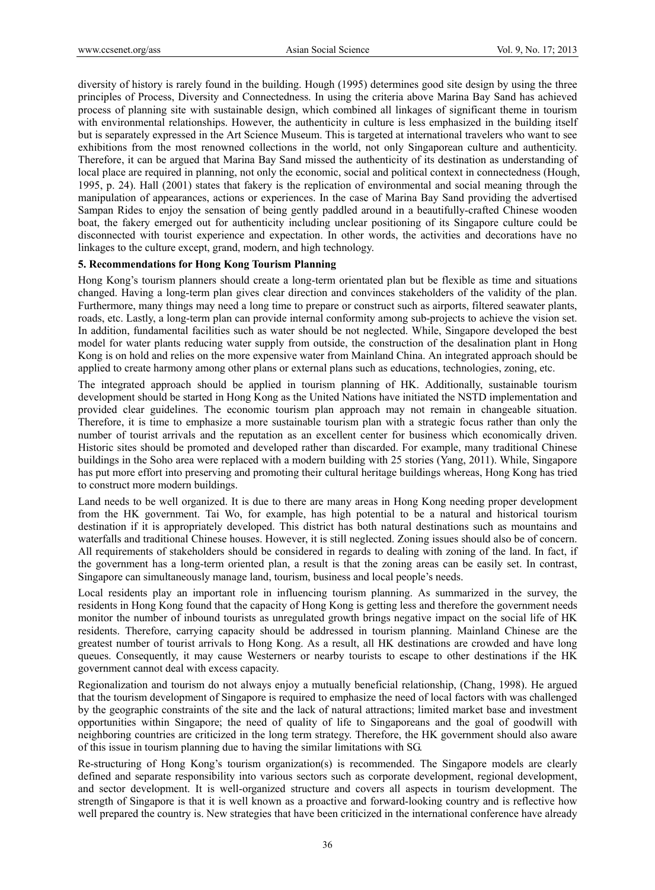diversity of history is rarely found in the building. Hough (1995) determines good site design by using the three principles of Process, Diversity and Connectedness. In using the criteria above Marina Bay Sand has achieved process of planning site with sustainable design, which combined all linkages of significant theme in tourism with environmental relationships. However, the authenticity in culture is less emphasized in the building itself but is separately expressed in the Art Science Museum. This is targeted at international travelers who want to see exhibitions from the most renowned collections in the world, not only Singaporean culture and authenticity. Therefore, it can be argued that Marina Bay Sand missed the authenticity of its destination as understanding of local place are required in planning, not only the economic, social and political context in connectedness (Hough, 1995, p. 24). Hall (2001) states that fakery is the replication of environmental and social meaning through the manipulation of appearances, actions or experiences. In the case of Marina Bay Sand providing the advertised Sampan Rides to enjoy the sensation of being gently paddled around in a beautifully-crafted Chinese wooden boat, the fakery emerged out for authenticity including unclear positioning of its Singapore culture could be disconnected with tourist experience and expectation. In other words, the activities and decorations have no linkages to the culture except, grand, modern, and high technology.

#### **5. Recommendations for Hong Kong Tourism Planning**

Hong Kong's tourism planners should create a long-term orientated plan but be flexible as time and situations changed. Having a long-term plan gives clear direction and convinces stakeholders of the validity of the plan. Furthermore, many things may need a long time to prepare or construct such as airports, filtered seawater plants, roads, etc. Lastly, a long-term plan can provide internal conformity among sub-projects to achieve the vision set. In addition, fundamental facilities such as water should be not neglected. While, Singapore developed the best model for water plants reducing water supply from outside, the construction of the desalination plant in Hong Kong is on hold and relies on the more expensive water from Mainland China. An integrated approach should be applied to create harmony among other plans or external plans such as educations, technologies, zoning, etc.

The integrated approach should be applied in tourism planning of HK. Additionally, sustainable tourism development should be started in Hong Kong as the United Nations have initiated the NSTD implementation and provided clear guidelines. The economic tourism plan approach may not remain in changeable situation. Therefore, it is time to emphasize a more sustainable tourism plan with a strategic focus rather than only the number of tourist arrivals and the reputation as an excellent center for business which economically driven. Historic sites should be promoted and developed rather than discarded. For example, many traditional Chinese buildings in the Soho area were replaced with a modern building with 25 stories (Yang, 2011). While, Singapore has put more effort into preserving and promoting their cultural heritage buildings whereas, Hong Kong has tried to construct more modern buildings.

Land needs to be well organized. It is due to there are many areas in Hong Kong needing proper development from the HK government. Tai Wo, for example, has high potential to be a natural and historical tourism destination if it is appropriately developed. This district has both natural destinations such as mountains and waterfalls and traditional Chinese houses. However, it is still neglected. Zoning issues should also be of concern. All requirements of stakeholders should be considered in regards to dealing with zoning of the land. In fact, if the government has a long-term oriented plan, a result is that the zoning areas can be easily set. In contrast, Singapore can simultaneously manage land, tourism, business and local people's needs.

Local residents play an important role in influencing tourism planning. As summarized in the survey, the residents in Hong Kong found that the capacity of Hong Kong is getting less and therefore the government needs monitor the number of inbound tourists as unregulated growth brings negative impact on the social life of HK residents. Therefore, carrying capacity should be addressed in tourism planning. Mainland Chinese are the greatest number of tourist arrivals to Hong Kong. As a result, all HK destinations are crowded and have long queues. Consequently, it may cause Westerners or nearby tourists to escape to other destinations if the HK government cannot deal with excess capacity.

Regionalization and tourism do not always enjoy a mutually beneficial relationship, (Chang, 1998). He argued that the tourism development of Singapore is required to emphasize the need of local factors with was challenged by the geographic constraints of the site and the lack of natural attractions; limited market base and investment opportunities within Singapore; the need of quality of life to Singaporeans and the goal of goodwill with neighboring countries are criticized in the long term strategy. Therefore, the HK government should also aware of this issue in tourism planning due to having the similar limitations with SG.

Re-structuring of Hong Kong's tourism organization(s) is recommended. The Singapore models are clearly defined and separate responsibility into various sectors such as corporate development, regional development, and sector development. It is well-organized structure and covers all aspects in tourism development. The strength of Singapore is that it is well known as a proactive and forward-looking country and is reflective how well prepared the country is. New strategies that have been criticized in the international conference have already